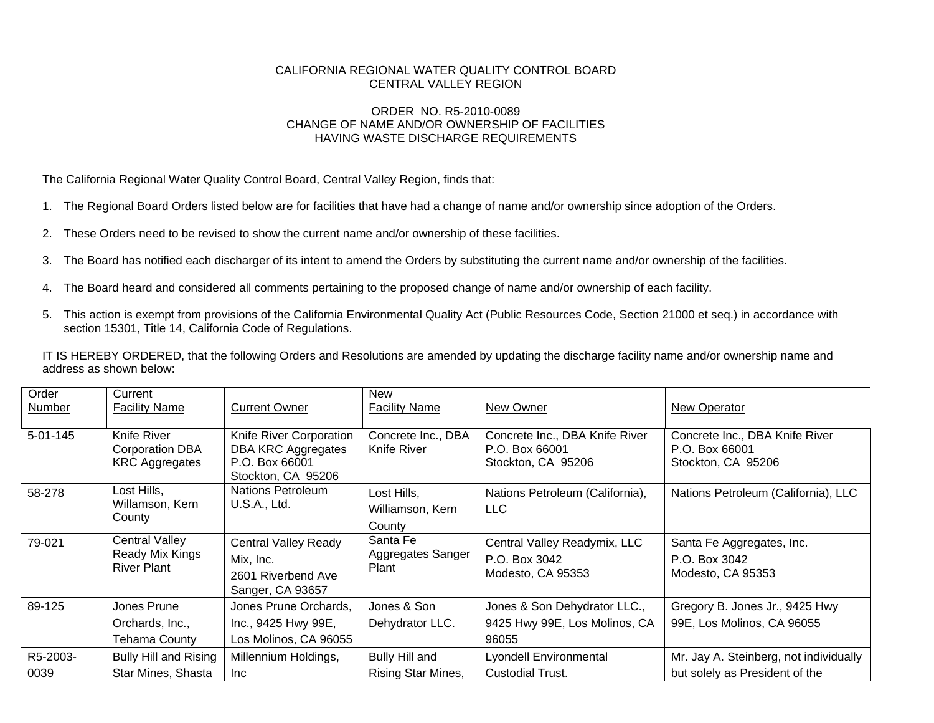## CALIFORNIA REGIONAL WATER QUALITY CONTROL BOARD CENTRAL VALLEY REGION

## ORDER NO. R5-2010-0089 CHANGE OF NAME AND/OR OWNERSHIP OF FACILITIES HAVING WASTE DISCHARGE REQUIREMENTS

The California Regional Water Quality Control Board, Central Valley Region, finds that:

- 1. The Regional Board Orders listed below are for facilities that have had a change of name and/or ownership since adoption of the Orders.
- 2. These Orders need to be revised to show the current name and/or ownership of these facilities.
- 3. The Board has notified each discharger of its intent to amend the Orders by substituting the current name and/or ownership of the facilities.
- 4. The Board heard and considered all comments pertaining to the proposed change of name and/or ownership of each facility.
- 5. This action is exempt from provisions of the California Environmental Quality Act (Public Resources Code, Section 21000 et seq.) in accordance with section 15301, Title 14, California Code of Regulations.

IT IS HEREBY ORDERED, that the following Orders and Resolutions are amended by updating the discharge facility name and/or ownership name and address as shown below:

| Order<br>Number  | Current<br><b>Facility Name</b>                                | <b>Current Owner</b>                                                                         | New<br><b>Facility Name</b>               | New Owner                                                              | New Operator                                                             |
|------------------|----------------------------------------------------------------|----------------------------------------------------------------------------------------------|-------------------------------------------|------------------------------------------------------------------------|--------------------------------------------------------------------------|
| $5 - 01 - 145$   | Knife River<br><b>Corporation DBA</b><br><b>KRC Aggregates</b> | Knife River Corporation<br><b>DBA KRC Aggregates</b><br>P.O. Box 66001<br>Stockton, CA 95206 | Concrete Inc., DBA<br>Knife River         | Concrete Inc., DBA Knife River<br>P.O. Box 66001<br>Stockton, CA 95206 | Concrete Inc., DBA Knife River<br>P.O. Box 66001<br>Stockton, CA 95206   |
| 58-278           | Lost Hills,<br>Willamson, Kern<br>County                       | Nations Petroleum<br>U.S.A., Ltd.                                                            | Lost Hills.<br>Williamson, Kern<br>County | Nations Petroleum (California),<br><b>LLC</b>                          | Nations Petroleum (California), LLC                                      |
| 79-021           | <b>Central Valley</b><br>Ready Mix Kings<br><b>River Plant</b> | <b>Central Valley Ready</b><br>Mix, Inc.<br>2601 Riverbend Ave<br>Sanger, CA 93657           | Santa Fe<br>Aggregates Sanger<br>Plant    | Central Valley Readymix, LLC<br>P.O. Box 3042<br>Modesto, CA 95353     | Santa Fe Aggregates, Inc.<br>P.O. Box 3042<br>Modesto, CA 95353          |
| 89-125           | Jones Prune<br>Orchards, Inc.,<br><b>Tehama County</b>         | Jones Prune Orchards,<br>Inc., 9425 Hwy 99E,<br>Los Molinos, CA 96055                        | Jones & Son<br>Dehydrator LLC.            | Jones & Son Dehydrator LLC.,<br>9425 Hwy 99E, Los Molinos, CA<br>96055 | Gregory B. Jones Jr., 9425 Hwy<br>99E, Los Molinos, CA 96055             |
| R5-2003-<br>0039 | <b>Bully Hill and Rising</b><br>Star Mines, Shasta             | Millennium Holdings,<br>Inc.                                                                 | Bully Hill and<br>Rising Star Mines,      | Lyondell Environmental<br><b>Custodial Trust.</b>                      | Mr. Jay A. Steinberg, not individually<br>but solely as President of the |